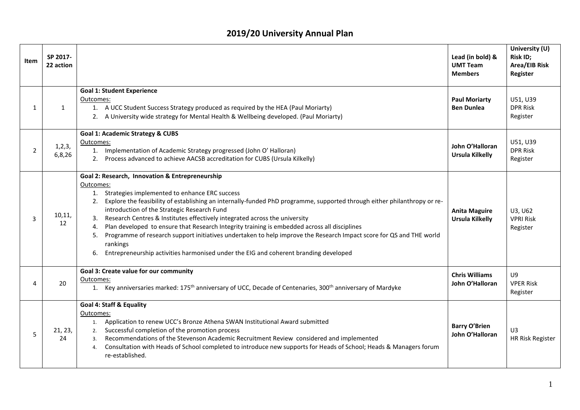## **2019/20 University Annual Plan**

| Item           | SP 2017-<br>22 action |                                                                                                                                                                                                                                                                                                                                                                                                                                                                                                                                                                                                                                                                                                                     | Lead (in bold) &<br><b>UMT Team</b><br><b>Members</b> | University (U)<br>Risk ID;<br><b>Area/EIB Risk</b><br>Register |
|----------------|-----------------------|---------------------------------------------------------------------------------------------------------------------------------------------------------------------------------------------------------------------------------------------------------------------------------------------------------------------------------------------------------------------------------------------------------------------------------------------------------------------------------------------------------------------------------------------------------------------------------------------------------------------------------------------------------------------------------------------------------------------|-------------------------------------------------------|----------------------------------------------------------------|
| $\mathbf{1}$   | $\mathbf{1}$          | <b>Goal 1: Student Experience</b><br>Outcomes:<br>1. A UCC Student Success Strategy produced as required by the HEA (Paul Moriarty)<br>2. A University wide strategy for Mental Health & Wellbeing developed. (Paul Moriarty)                                                                                                                                                                                                                                                                                                                                                                                                                                                                                       | <b>Paul Moriarty</b><br><b>Ben Dunlea</b>             | U51, U39<br><b>DPR Risk</b><br>Register                        |
| $\overline{2}$ | 1, 2, 3,<br>6,8,26    | <b>Goal 1: Academic Strategy &amp; CUBS</b><br>Outcomes:<br>1. Implementation of Academic Strategy progressed (John O' Halloran)<br>2. Process advanced to achieve AACSB accreditation for CUBS (Ursula Kilkelly)                                                                                                                                                                                                                                                                                                                                                                                                                                                                                                   | John O'Halloran<br><b>Ursula Kilkelly</b>             | U51, U39<br><b>DPR Risk</b><br>Register                        |
| ς              | 10,11,<br>12          | Goal 2: Research, Innovation & Entrepreneurship<br>Outcomes:<br>1. Strategies implemented to enhance ERC success<br>2. Explore the feasibility of establishing an internally-funded PhD programme, supported through either philanthropy or re-<br>introduction of the Strategic Research Fund<br>Research Centres & Institutes effectively integrated across the university<br>Plan developed to ensure that Research Integrity training is embedded across all disciplines<br>4.<br>Programme of research support initiatives undertaken to help improve the Research Impact score for QS and THE world<br>5.<br>rankings<br>Entrepreneurship activities harmonised under the EIG and coherent branding developed | <b>Anita Maguire</b><br><b>Ursula Kilkelly</b>        | U3, U62<br><b>VPRI Risk</b><br>Register                        |
| 4              | 20                    | Goal 3: Create value for our community<br>Outcomes:<br>1. Key anniversaries marked: 175 <sup>th</sup> anniversary of UCC, Decade of Centenaries, 300 <sup>th</sup> anniversary of Mardyke                                                                                                                                                                                                                                                                                                                                                                                                                                                                                                                           | <b>Chris Williams</b><br>John O'Halloran              | U9<br><b>VPER Risk</b><br>Register                             |
| 5              | 21, 23,<br>24         | <b>Goal 4: Staff &amp; Equality</b><br>Outcomes:<br>Application to renew UCC's Bronze Athena SWAN Institutional Award submitted<br>1.<br>Successful completion of the promotion process<br>2.<br>Recommendations of the Stevenson Academic Recruitment Review considered and implemented<br>3.<br>Consultation with Heads of School completed to introduce new supports for Heads of School; Heads & Managers forum<br>4.<br>re-established.                                                                                                                                                                                                                                                                        | <b>Barry O'Brien</b><br>John O'Halloran               | U3<br>HR Risk Register                                         |